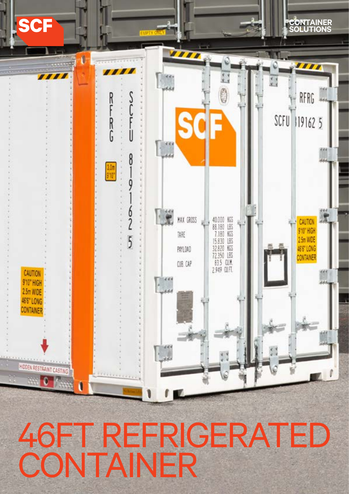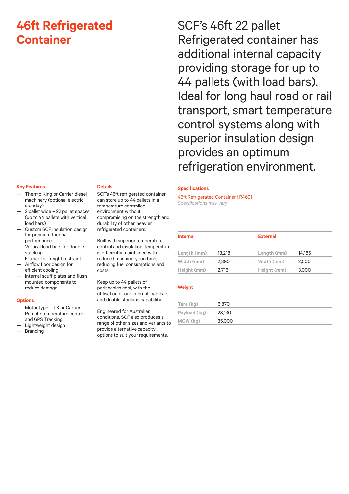# **46ft Refrigerated Container**

### **Key Features**

- Thermo King or Carrier diesel machinery (optional electric standby)
- 2 pallet wide 22 pallet spaces (up to 44 pallets with vertical load bars)
- Custom SCF insulation design for premium thermal performance
- Vertical load bars for double stacking
- F-track for freight restraint — Airflow floor design for efficient cooling
- Internal scuff plates and flush mounted components to reduce damage

#### **Options**

- Motor type TK or Carrier
- Remote temperature control and GPS Tracking
- Lightweight design
- **Branding**

### **Details**

SCF's 46ft refrigerated container can store up to 44 pallets in a temperature controlled environment without compromising on the strength and durability of other, heavier refrigerated containers.

Built with superior temperature control and insulation, temperature is efficiently maintained with reduced machinery run time, reducing fuel consumptions and costs.

Keep up to 44 pallets of perishables cool, with the utilisation of our internal load bars and double stacking capability.

Engineered for Australian conditions, SCF also produces a range of other sizes and variants to provide alternative capacity options to suit your requirements.

SCF's 46ft 22 pallet Refrigerated container has additional internal capacity providing storage for up to 44 pallets (with load bars). Ideal for long haul road or rail transport, smart temperature control systems along with superior insulation design provides an optimum refrigeration environment.

# **Specifications**

46ft Refrigerated Container | R4691 *Specifications may vary* 

| <b>Internal</b> |        | <b>External</b> |        |
|-----------------|--------|-----------------|--------|
| Length (mm)     | 13,218 | Length (mm)     | 14.185 |
| Width (mm)      | 2.390  | Width (mm)      | 2,500  |
| Height (mm)     | 2.716  | Height (mm)     | 3,000  |

# **Weight**

| Tare (kg)    | 6.870  |  |
|--------------|--------|--|
| Payload (kg) | 28,130 |  |
| MGW (kg)     | 35,000 |  |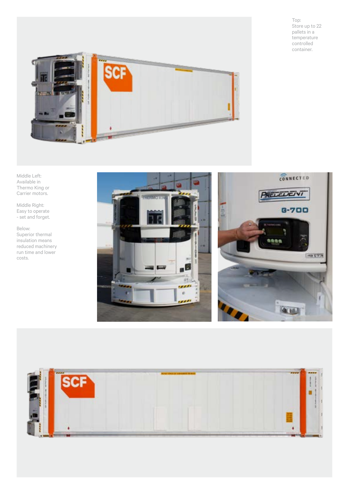Top: Store up to 22 pallets in a temperature controlled container.



Middle Left: Available in Thermo King or Carrier motors.

Middle Right: Easy to operate - set and forget.

Below: Superior thermal insulation means reduced machinery run time and lower costs.